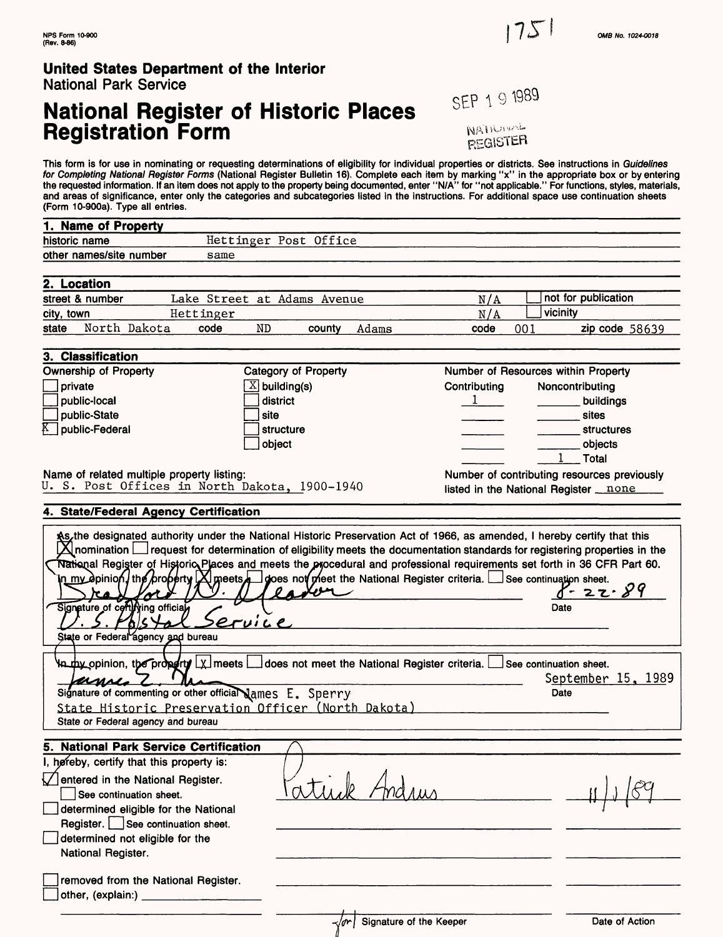National Park Service

**y**ing officia

7

pature of cert)

State or Federal agency

UMN-

Sia

۱n

*z^-\*Jl\*>e,* and bureau

ſ

Signature of commenting or other official James E. Sperry

State Historic Preservation Officer (North Dakota)

 $\mathbf{r}$ 

# **National Register of Historic Places** SEP 1 9 1989 **Registration Form Additional Property Registration Form Additional Property Registers**

 $175$ 

This form is for use in nominating or requesting determinations of eligibility for individual properties or districts. See instructions in G*uidelines*<br>*for Completing National Register Forms* (National Register Bulletin 1 the requested information. If an item does not apply to the property being documented, enter "N/A" for "not applicable." For functions, styles, materials, and areas of significance, enter only the categories and subcategories listed in the instructions. For additional space use continuation sheets (Form 10-900a). Type all entries.

| 1. Name of Property                                                                                                                                                                                                                                                                                                                                                                                  |                             |              |                                             |
|------------------------------------------------------------------------------------------------------------------------------------------------------------------------------------------------------------------------------------------------------------------------------------------------------------------------------------------------------------------------------------------------------|-----------------------------|--------------|---------------------------------------------|
| historic name                                                                                                                                                                                                                                                                                                                                                                                        | Hettinger Post Office       |              |                                             |
| other names/site number<br>same                                                                                                                                                                                                                                                                                                                                                                      |                             |              |                                             |
|                                                                                                                                                                                                                                                                                                                                                                                                      |                             |              |                                             |
| 2. Location                                                                                                                                                                                                                                                                                                                                                                                          |                             |              |                                             |
| street & number                                                                                                                                                                                                                                                                                                                                                                                      | Lake Street at Adams Avenue | N/A          | not for publication                         |
| city, town<br>Hettinger                                                                                                                                                                                                                                                                                                                                                                              |                             | N/A          | vicinity                                    |
| North Dakota<br>state<br>code                                                                                                                                                                                                                                                                                                                                                                        | Adams<br>ND<br>county       | code<br>001  | zip code 58639                              |
| 3. Classification                                                                                                                                                                                                                                                                                                                                                                                    |                             |              |                                             |
| <b>Ownership of Property</b>                                                                                                                                                                                                                                                                                                                                                                         | Category of Property        |              | Number of Resources within Property         |
| private                                                                                                                                                                                                                                                                                                                                                                                              | $X$ building(s)             | Contributing | Noncontributing                             |
| public-local                                                                                                                                                                                                                                                                                                                                                                                         | district                    | $\mathbf{I}$ | buildings                                   |
| public-State                                                                                                                                                                                                                                                                                                                                                                                         | site                        |              | sites                                       |
| $K^-$<br>public-Federal                                                                                                                                                                                                                                                                                                                                                                              | structure                   |              | <b>structures</b>                           |
|                                                                                                                                                                                                                                                                                                                                                                                                      | object                      |              | objects                                     |
|                                                                                                                                                                                                                                                                                                                                                                                                      |                             |              | Total                                       |
| Name of related multiple property listing:                                                                                                                                                                                                                                                                                                                                                           |                             |              | Number of contributing resources previously |
| U. S. Post Offices in North Dakota, 1900-1940                                                                                                                                                                                                                                                                                                                                                        |                             |              | listed in the National Register none        |
| 4. State/Federal Agency Certification                                                                                                                                                                                                                                                                                                                                                                |                             |              |                                             |
| \$5, the designated authority under the National Historic Preservation Act of 1966, as amended, I hereby certify that this<br>$\boxtimes$ nomination $\Box$ request for determination of eligibility meets the documentation standards for registering properties in the<br>National Register of Historio Places and meets the procedural and professional requirements set forth in 36 CFR Part 60. |                             |              |                                             |

 $\sum$  my dpinion) the property  $[X]$  meets depends not preet the National Register criteria. See continuation sheet.  $\sum$ 

 $\texttt{upx}$  opinion, the property  $\lfloor \chi \rfloor$  meets  $\lfloor \rfloor$  does not meet the National Register criteria.  $\lfloor \rfloor$  See continuation sheet.

| 5. National Park Service Certification    |  |
|-------------------------------------------|--|
| I, hereby, certify that this property is: |  |
| Dentered in the National Register.        |  |
| See continuation sheet.                   |  |
| determined eligible for the National      |  |
| Register. See continuation sheet.         |  |
| determined not eligible for the           |  |
| National Register.                        |  |
|                                           |  |
| removed from the National Register.       |  |
| other, (explain:)                         |  |

 $\sqrt{ar}$  Signature of the Keeper Date of Action

Date

Date

September 15, 1989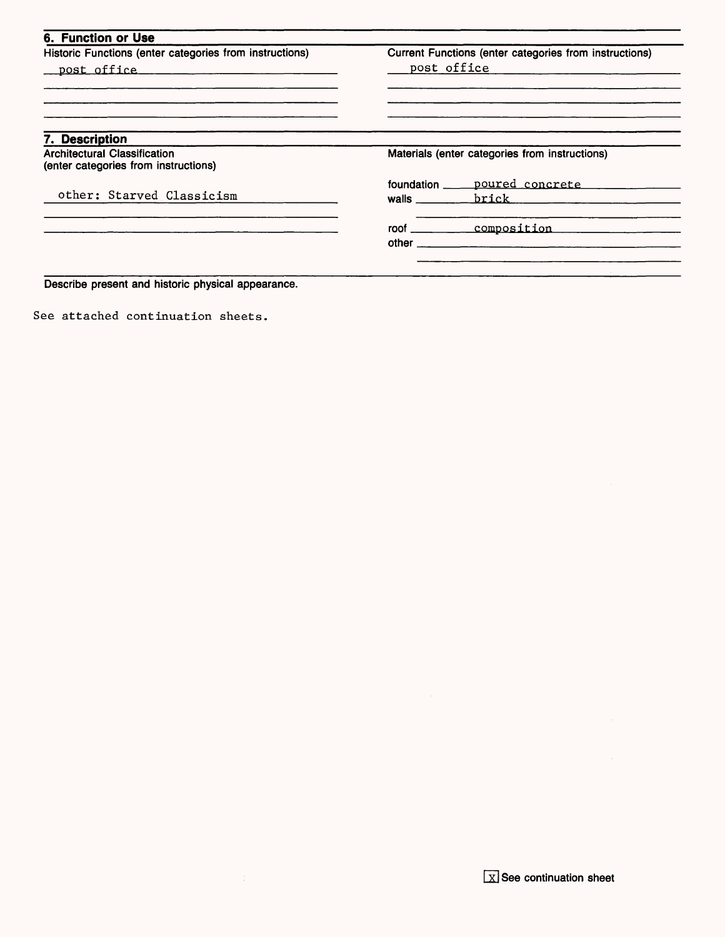| Historic Functions (enter categories from instructions) | Current Functions (enter categories from instructions) |                                                                                                                 |
|---------------------------------------------------------|--------------------------------------------------------|-----------------------------------------------------------------------------------------------------------------|
| post office manufactured post office                    | post office                                            |                                                                                                                 |
|                                                         |                                                        |                                                                                                                 |
| 7. Description                                          |                                                        |                                                                                                                 |
| <b>Architectural Classification</b>                     | Materials (enter categories from instructions)         |                                                                                                                 |
| (enter categories from instructions)                    |                                                        |                                                                                                                 |
|                                                         | foundation                                             | poured concrete                                                                                                 |
| other: Starved Classicism                               | walls $\qquad \qquad$                                  | brick the contract of the contract of the contract of the contract of the contract of the contract of the contr |
|                                                         |                                                        | roof composition                                                                                                |
|                                                         |                                                        |                                                                                                                 |

See attached continuation sheets.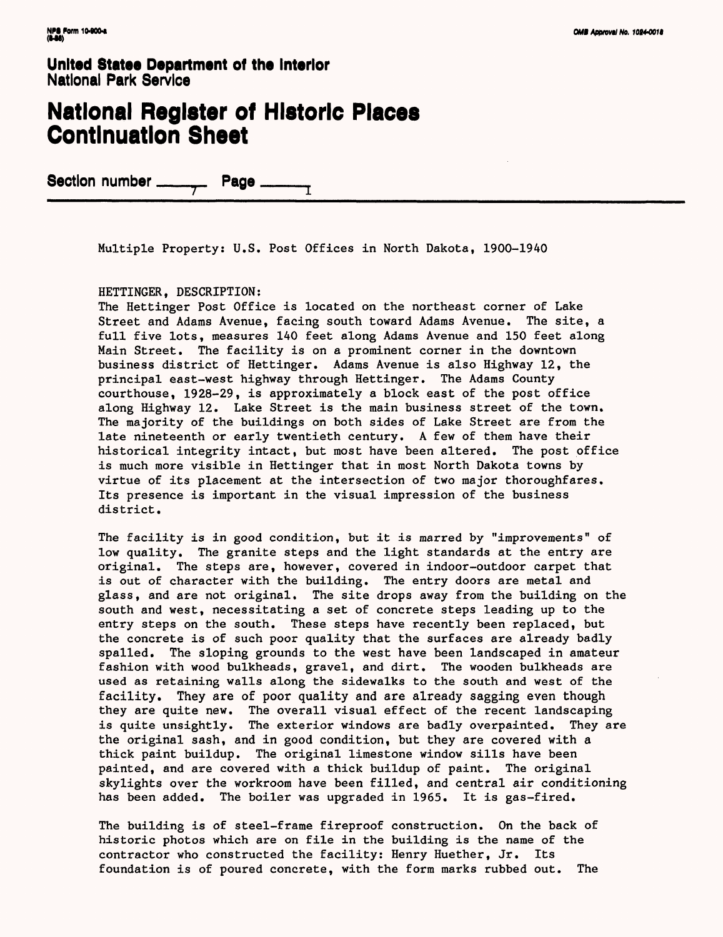### **National Register of Historic Places Continuation Sheet**

Section number \_\_\_\_\_\_\_\_\_ Page \_

Multiple Property: U.S. Post Offices in North Dakota, 1900-1940

#### HETTINGER, DESCRIPTION:

The Hettinger Post Office is located on the northeast corner of Lake Street and Adams Avenue, facing south toward Adams Avenue. The site, a full five lots, measures 140 feet along Adams Avenue and 150 feet along Main Street. The facility is on a prominent corner in the downtown business district of Hettinger. Adams Avenue is also Highway 12, the principal east-west highway through Hettinger. The Adams County courthouse, 1928-29, is approximately a block east of the post office along Highway 12. Lake Street is the main business street of the town. The majority of the buildings on both sides of Lake Street are from the late nineteenth or early twentieth century. A few of them have their historical integrity intact, but most have been altered. The post office is much more visible in Hettinger that in most North Dakota towns by virtue of its placement at the intersection of two major thoroughfares. Its presence is important in the visual impression of the business district.

The facility is in good condition, but it is marred by "improvements" of low quality. The granite steps and the light standards at the entry are original. The steps are, however, covered in indoor-outdoor carpet that is out of character with the building. The entry doors are metal and glass, and are not original. The site drops away from the building on the south and west, necessitating a set of concrete steps leading up to the entry steps on the south. These steps have recently been replaced, but the concrete is of such poor quality that the surfaces are already badly spalled. The sloping grounds to the west have been landscaped in amateur fashion with wood bulkheads, gravel, and dirt. The wooden bulkheads are used as retaining walls along the sidewalks to the south and west of the facility. They are of poor quality and are already sagging even though they are quite new. The overall visual effect of the recent landscaping is quite unsightly. The exterior windows are badly overpainted. They are the original sash, and in good condition, but they are covered with a thick paint buildup. The original limestone window sills have been painted, and are covered with a thick buildup of paint. The original skylights over the workroom have been filled, and central air conditioning has been added. The boiler was upgraded in 1965. It is gas-fired.

The building is of steel-frame fireproof construction. On the back of historic photos which are on file in the building is the name of the contractor who constructed the facility: Henry Huether, Jr. Its foundation is of poured concrete, with the form marks rubbed out. The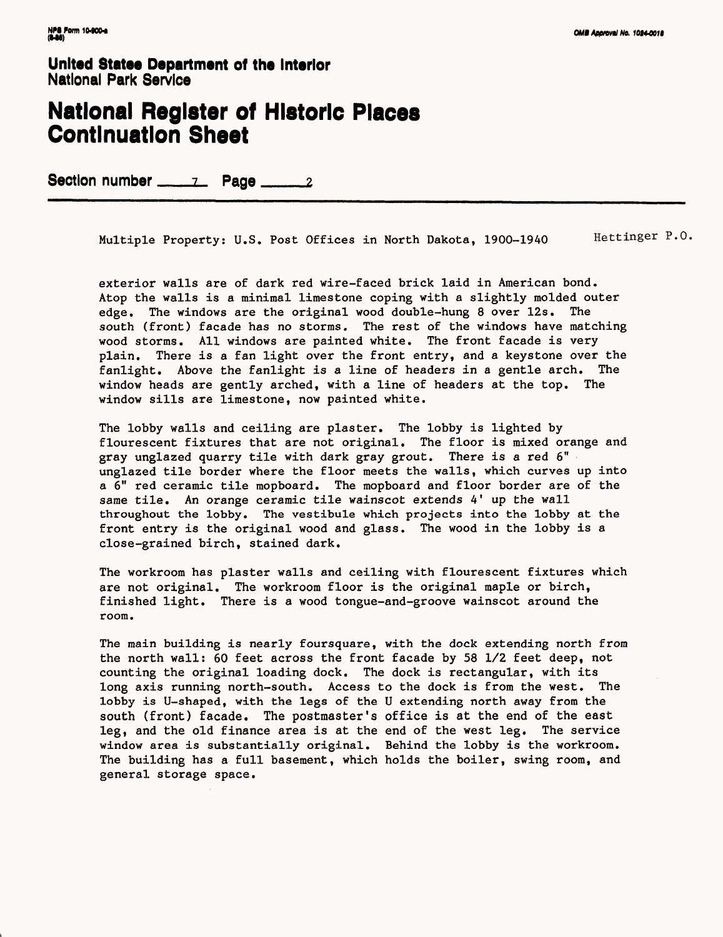#### **National Register of Historic Places Continuation Sheet**

Section number \_\_\_\_\_\_\_\_ Page \_\_\_\_\_\_\_\_

Multiple Property: U.S. Post Offices in North Dakota, 1900-1940 Hettinger P.O.

exterior walls are of dark red wire-faced brick laid in American bond. Atop the walls is a minimal limestone coping with a slightly molded outer edge. The windows are the original wood double-hung 8 over 12s. The south (front) facade has no storms. The rest of the windows have matching wood storms. All windows are painted white. The front facade is very plain. There is a fan light over the front entry, and a keystone over the fanlight. Above the fanlight is a line of headers in a gentle arch. The window heads are gently arched, with a line of headers at the top. The window sills are limestone, now painted white.

The lobby walls and ceiling are plaster. The lobby is lighted by flourescent fixtures that are not original. The floor is mixed orange and gray unglazed quarry tile with dark gray grout. There is a red 6" unglazed tile border where the floor meets the walls, which curves up into a 6" red ceramic tile mopboard. The mopboard and floor border are of the same tile. An orange ceramic tile wainscot extends 4' up the wall throughout the lobby. The vestibule which projects into the lobby at the front entry is the original wood and glass. The wood in the lobby is a close-grained birch, stained dark.

The workroom has plaster walls and ceiling with flourescent fixtures which are not original. The workroom floor is the original maple or birch, finished light. There is a wood tongue-and-groove wainscot around the room.

The main building is nearly foursquare, with the dock extending north from the north wall: 60 feet across the front facade by 58 1/2 feet deep, not counting the original loading dock. The dock is rectangular, with its long axis running north-south. Access to the dock is from the west. The lobby is U-shaped, with the legs of the U extending north away from the south (front) facade. The postmaster's office is at the end of the east leg, and the old finance area is at the end of the west leg. The service window area is substantially original. Behind the lobby is the workroom. The building has a full basement, which holds the boiler, swing room, and general storage space.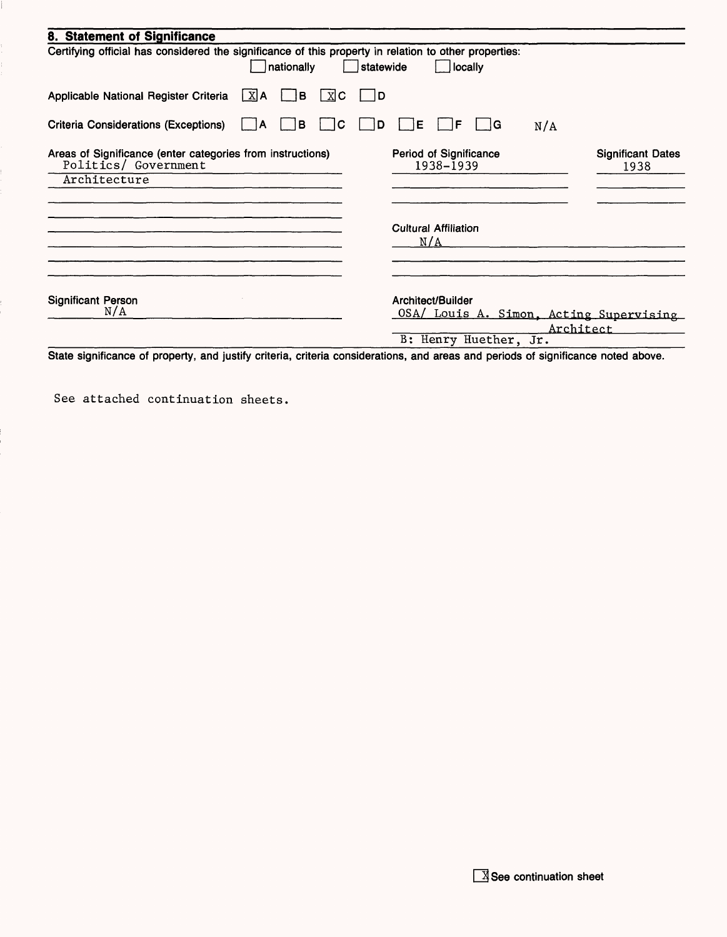| 8. Statement of Significance                                                                                        |                                                                           |
|---------------------------------------------------------------------------------------------------------------------|---------------------------------------------------------------------------|
| Certifying official has considered the significance of this property in relation to other properties:<br>nationally | locally<br>statewide                                                      |
| $\lfloor x \rfloor$ A<br>Applicable National Register Criteria<br>IB.<br>$X$ C                                      | 1D                                                                        |
| <b>Criteria Considerations (Exceptions)</b><br>B<br>C<br>A                                                          | E<br>F<br>lG.<br>D<br>N/A                                                 |
| Areas of Significance (enter categories from instructions)<br>Politics/ Government                                  | Period of Significance<br><b>Significant Dates</b><br>1938-1939<br>1938   |
| Architecture                                                                                                        |                                                                           |
|                                                                                                                     | <b>Cultural Affiliation</b><br>N/A                                        |
| <b>Significant Person</b><br>N/A                                                                                    | Architect/Builder<br>OSA/ Louis A. Simon, Acting Supervising<br>Architect |
|                                                                                                                     | B: Henry Huether, Jr.                                                     |

State significance of property, and justify criteria, criteria considerations, and areas and periods of significance noted above.

See attached continuation sheets.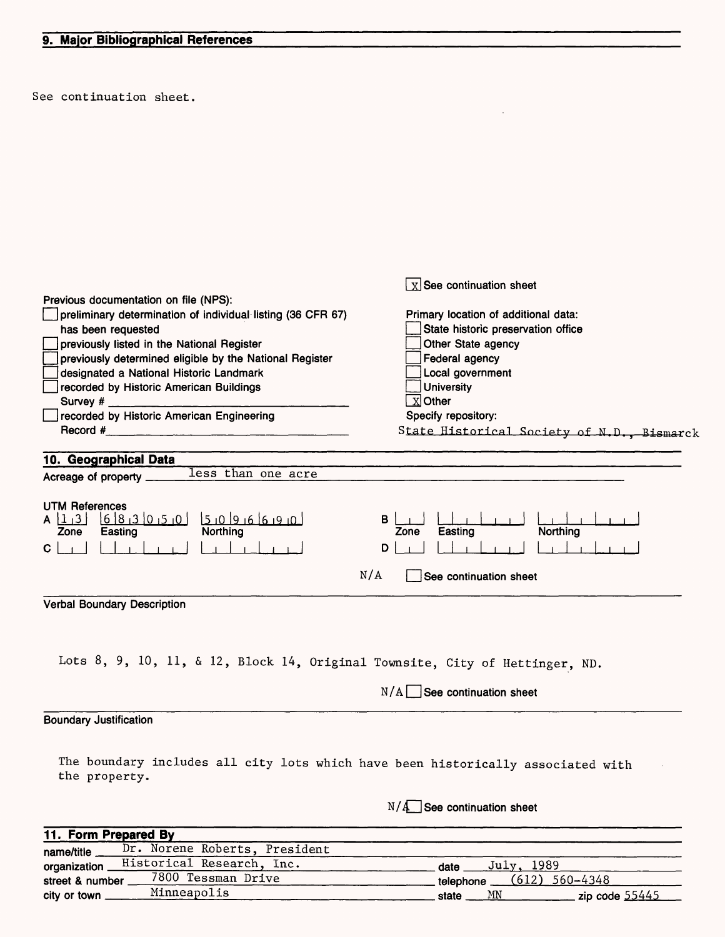See continuation sheet.

|                                                                                                   | $\boxed{\text{X}}$ See continuation sheet                                  |  |  |
|---------------------------------------------------------------------------------------------------|----------------------------------------------------------------------------|--|--|
| Previous documentation on file (NPS):                                                             |                                                                            |  |  |
| preliminary determination of individual listing (36 CFR 67)                                       | Primary location of additional data:                                       |  |  |
| has been requested                                                                                | State historic preservation office<br>Other State agency<br>Federal agency |  |  |
| previously listed in the National Register                                                        |                                                                            |  |  |
| previously determined eligible by the National Register                                           |                                                                            |  |  |
| designated a National Historic Landmark                                                           | Local government                                                           |  |  |
| recorded by Historic American Buildings                                                           | <b>University</b>                                                          |  |  |
| Survey #                                                                                          | $X$ Other                                                                  |  |  |
| recorded by Historic American Engineering                                                         | Specify repository:                                                        |  |  |
| Record #                                                                                          | State Historical Society of N.D., Bismarck                                 |  |  |
| 10. Geographical Data                                                                             |                                                                            |  |  |
| less than one acre<br>Acreage of property ___                                                     |                                                                            |  |  |
|                                                                                                   |                                                                            |  |  |
| <b>UTM References</b>                                                                             |                                                                            |  |  |
| $A \left[ \frac{1}{3} \right]$                                                                    | в                                                                          |  |  |
| Zone                                                                                              | Northing<br>Easting<br>Zone                                                |  |  |
| $\mathbf{C}$                                                                                      | D                                                                          |  |  |
|                                                                                                   | N/A<br>See continuation sheet                                              |  |  |
| <b>Verbal Boundary Description</b>                                                                |                                                                            |  |  |
|                                                                                                   |                                                                            |  |  |
| Lots 8, 9, 10, 11, & 12, Block 14, Original Townsite, City of Hettinger, ND.                      |                                                                            |  |  |
|                                                                                                   | $N/A$ See continuation sheet                                               |  |  |
| <b>Boundary Justification</b>                                                                     |                                                                            |  |  |
|                                                                                                   |                                                                            |  |  |
| The boundary includes all city lots which have been historically associated with<br>the property. |                                                                            |  |  |
|                                                                                                   | $N/A$ See continuation sheet                                               |  |  |
| 11. Form Prepared By                                                                              |                                                                            |  |  |
| Dr. Norene Roberts, President<br>name/title                                                       |                                                                            |  |  |
|                                                                                                   |                                                                            |  |  |

 $\epsilon$ 

| Historical Research, Inc.<br>organization  | 1989<br>Julv.<br>date         |
|--------------------------------------------|-------------------------------|
| 7800 .<br>Tessman Drive<br>street & number | $(612)$ 560-4348<br>telephone |
| Minneapolis<br>city or town                | MN<br>zip code 55445<br>state |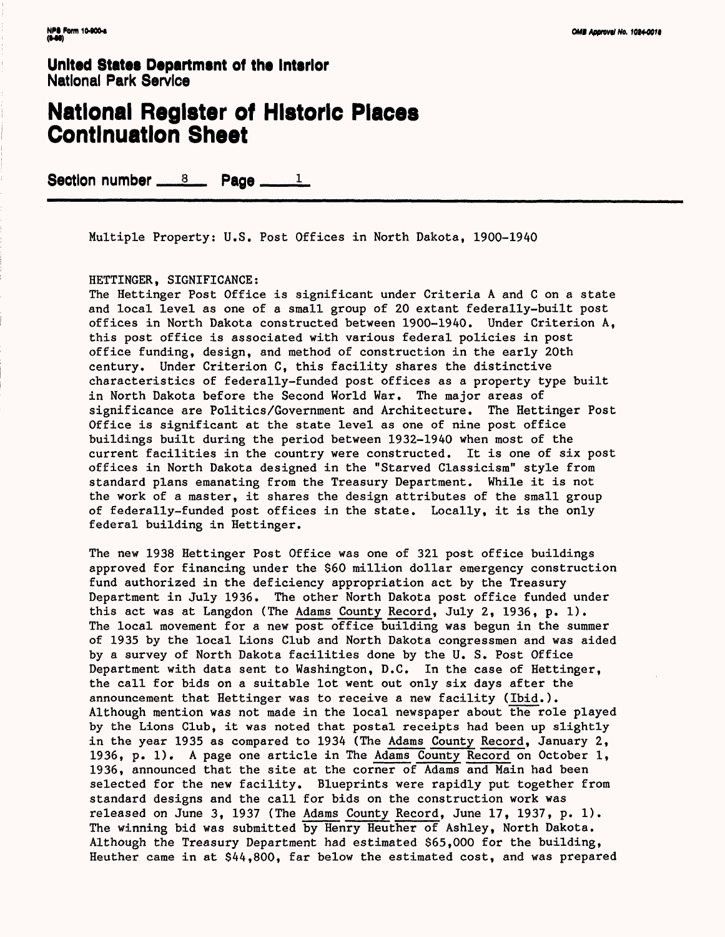#### **National Register of Historic Places Continuation Sheet**

Section number  $s = 8$ . Page  $s = 1$ .

Multiple Property; U.S. Post Offices in North Dakota, 1900-1940

HETTINGER, SIGNIFICANCE:

The Hettinger Post Office is significant under Criteria A and C on a state and local level as one of a small group of 20 extant federally-built post offices in North Dakota constructed between 1900-1940. Under Criterion A, this post office is associated with various federal policies in post office funding, design, and method of construction in the early 20th century. Under Criterion C, this facility shares the distinctive characteristics of federally-funded post offices as a property type built in North Dakota before the Second World War. The major areas of significance are Politics/Government and Architecture. The Hettinger Post Office is significant at the state level as one of nine post office buildings built during the period between 1932-1940 when most of the current facilities in the country were constructed. It is one of six post offices in North Dakota designed in the "Starved Classicism" style from standard plans emanating from the Treasury Department. While it is not the work of a master, it shares the design attributes of the small group of federally-funded post offices in the state. Locally, it is the only federal building in Hettinger.

The new 1938 Hettinger Post Office was one of 321 post office buildings approved for financing under the \$60 million dollar emergency construction fund authorized in the deficiency appropriation act by the Treasury Department in July 1936. The other North Dakota post office funded under this act was at Langdon (The Adams County Record, July 2, 1936, p. 1). The local movement for a new post office building was begun in the summer of 1935 by the local Lions Club and North Dakota congressmen and was aided by a survey of North Dakota facilities done by the U. S. Post Office Department with data sent to Washington, D.C. In the case of Hettinger, the call for bids on a suitable lot went out only six days after the announcement that Hettinger was to receive a new facility (Ibid.). Although mention was not made in the local newspaper about the role played by the Lions Club, it was noted that postal receipts had been up slightly in the year 1935 as compared to 1934 (The Adams County Record, January 2, 1936, p. 1). A page one article in The Adams County Record on October 1, 1936, announced that the site at the corner of Adams and Main had been selected for the new facility. Blueprints were rapidly put together from standard designs and the call for bids on the construction work was released on June 3, 1937 (The Adams County Record, June 17, 1937, p. 1). The winning bid was submitted by Henry Heuther of Ashley, North Dakota. Although the Treasury Department had estimated \$65,000 for the building, Heuther came in at \$44,800, far below the estimated cost, and was prepared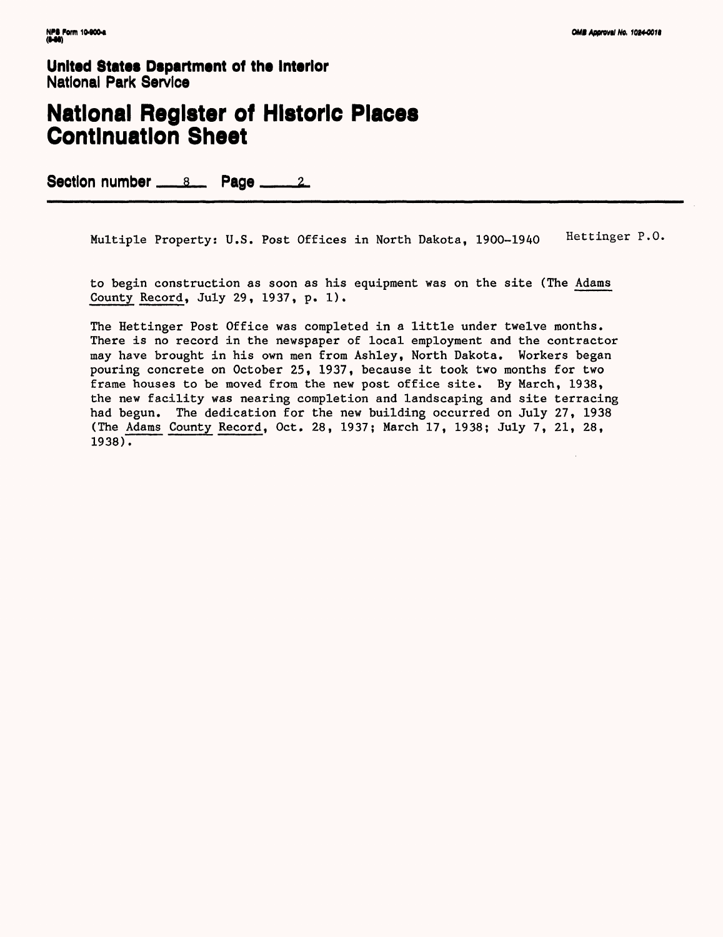### **National Register of Historic Places Continuation Sheet**

Section number  $\underline{\hspace{1cm}}$   $8$ . Page  $\underline{\hspace{1cm}}$   $2$ .

Multiple Property: U.S. Post Offices in North Dakota, 1900-1940 Hettinger P.O.

to begin construction as soon as his equipment was on the site (The Adams County Record, July 29, 1937, p. 1).

The Hettinger Post Office was completed in a little under twelve months. There is no record in the newspaper of local employment and the contractor may have brought in his own men from Ashley, North Dakota. Workers began pouring concrete on October 25, 1937, because it took two months for two frame houses to be moved from the new post office site. By March, 1938, the new facility was nearing completion and landscaping and site terracing had begun. The dedication for the new building occurred on July 27, 1938 (The Adams County Record, Oct. 28, 1937; March 17, 1938; July 7, 21, 28,  $1938$ .